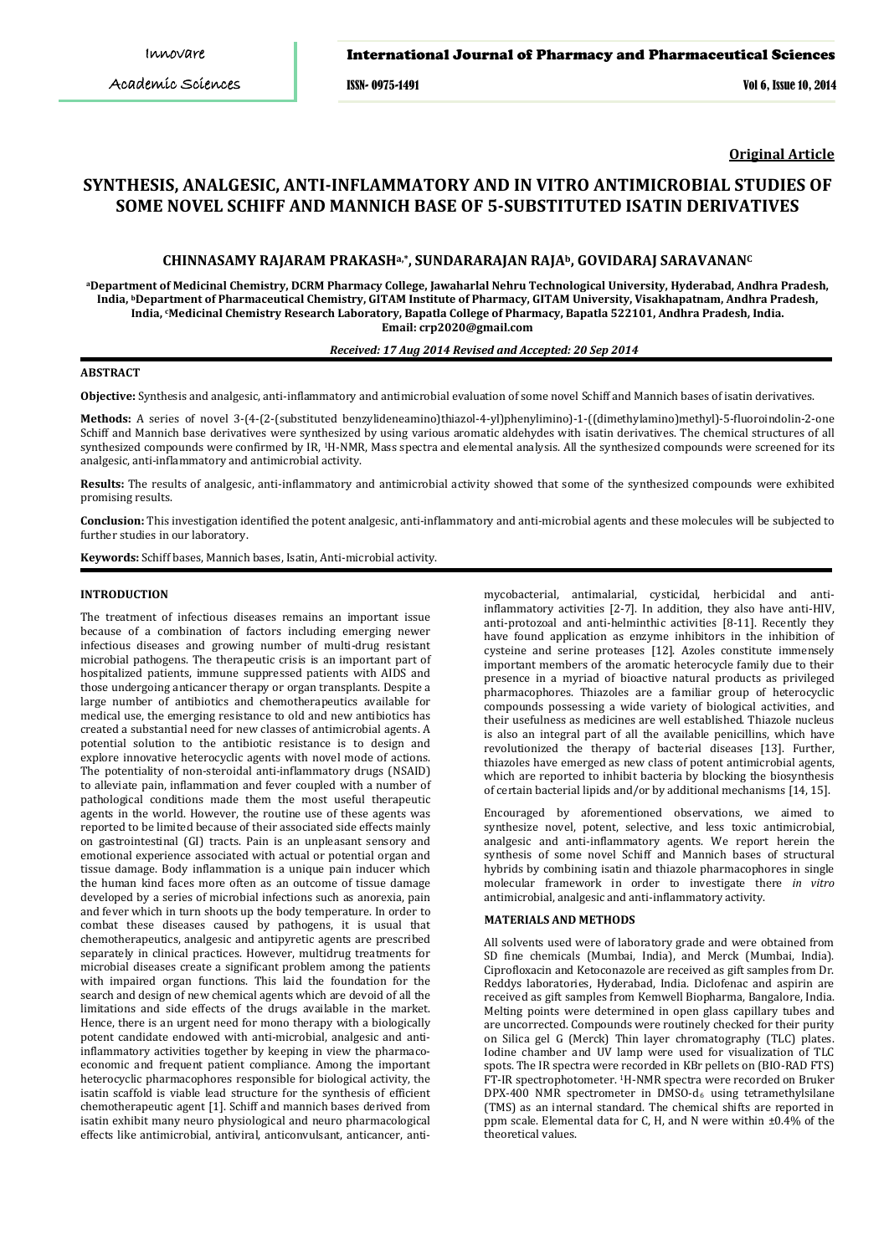### International Journal of Pharmacy and Pharmaceutical Sciences

ISSN- 0975-1491 Vol 6, Issue 10, 2014

**Original Article**

# **SYNTHESIS, ANALGESIC, ANTI-INFLAMMATORY AND IN VITRO ANTIMICROBIAL STUDIES OF SOME NOVEL SCHIFF AND MANNICH BASE OF 5-SUBSTITUTED ISATIN DERIVATIVES**

## **CHINNASAMY RAJARAM PRAKASHa,\*, SUNDARARAJAN RAJAb, GOVIDARAJ SARAVANANC**

**aDepartment of Medicinal Chemistry, DCRM Pharmacy College, Jawaharlal Nehru Technological University, Hyderabad, Andhra Pradesh, India, bDepartment of Pharmaceutical Chemistry, GITAM Institute of Pharmacy, GITAM University, Visakhapatnam, Andhra Pradesh, India, c Medicinal Chemistry Research Laboratory, Bapatla College of Pharmacy, Bapatla 522101, Andhra Pradesh, India. Email: crp2020@gmail.com**

### *Received: 17 Aug 2014 Revised and Accepted: 20 Sep 2014*

## **ABSTRACT**

**Objective:** Synthesis and analgesic, anti-inflammatory and antimicrobial evaluation of some novel Schiff and Mannich bases of isatin derivatives.

**Methods:** A series of novel 3-(4-(2-(substituted benzylideneamino)thiazol-4-yl)phenylimino)-1-((dimethylamino)methyl)-5-fluoroindolin-2-one Schiff and Mannich base derivatives were synthesized by using various aromatic aldehydes with isatin derivatives. The chemical structures of all synthesized compounds were confirmed by IR, 1 H-NMR, Mass spectra and elemental analysis. All the synthesized compounds were screened for its analgesic, anti-inflammatory and antimicrobial activity.

**Results:** The results of analgesic, anti-inflammatory and antimicrobial activity showed that some of the synthesized compounds were exhibited promising results.

**Conclusion:** This investigation identified the potent analgesic, anti-inflammatory and anti-microbial agents and these molecules will be subjected to further studies in our laboratory.

**Keywords:** Schiff bases, Mannich bases, Isatin, Anti-microbial activity.

## **INTRODUCTION**

The treatment of infectious diseases remains an important issue because of a combination of factors including emerging newer infectious diseases and growing number of multi-drug resistant microbial pathogens. The therapeutic crisis is an important part of hospitalized patients, immune suppressed patients with AIDS and those undergoing anticancer therapy or organ transplants. Despite a large number of antibiotics and chemotherapeutics available for medical use, the emerging resistance to old and new antibiotics has created a substantial need for new classes of antimicrobial agents. A potential solution to the antibiotic resistance is to design and explore innovative heterocyclic agents with novel mode of actions. The potentiality of non-steroidal anti-inflammatory drugs (NSAID) to alleviate pain, inflammation and fever coupled with a number of pathological conditions made them the most useful therapeutic agents in the world. However, the routine use of these agents was reported to be limited because of their associated side effects mainly on gastrointestinal (GI) tracts. Pain is an unpleasant sensory and emotional experience associated with actual or potential organ and tissue damage. Body inflammation is a unique pain inducer which the human kind faces more often as an outcome of tissue damage developed by a series of microbial infections such as anorexia, pain and fever which in turn shoots up the body temperature. In order to combat these diseases caused by pathogens, it is usual that chemotherapeutics, analgesic and antipyretic agents are prescribed separately in clinical practices. However, multidrug treatments for microbial diseases create a significant problem among the patients with impaired organ functions. This laid the foundation for the search and design of new chemical agents which are devoid of all the limitations and side effects of the drugs available in the market. Hence, there is an urgent need for mono therapy with a biologically potent candidate endowed with anti-microbial, analgesic and antiinflammatory activities together by keeping in view the pharmacoeconomic and frequent patient compliance. Among the important heterocyclic pharmacophores responsible for biological activity, the isatin scaffold is viable lead structure for the synthesis of efficient chemotherapeutic agent [1]. Schiff and mannich bases derived from isatin exhibit many neuro physiological and neuro pharmacological effects like antimicrobial, antiviral, anticonvulsant, anticancer, anti-

mycobacterial, antimalarial, cysticidal, herbicidal and antiinflammatory activities [2-7]. In addition, they also have anti-HIV, anti-protozoal and anti-helminthic activities [8-11]. Recently they have found application as enzyme inhibitors in the inhibition of cysteine and serine proteases [12]. Azoles constitute immensely important members of the aromatic heterocycle family due to their presence in a myriad of bioactive natural products as privileged pharmacophores. Thiazoles are a familiar group of heterocyclic compounds possessing a wide variety of biological activities, and their usefulness as medicines are well established. Thiazole nucleus is also an integral part of all the available penicillins, which have revolutionized the therapy of bacterial diseases [13]. Further, thiazoles have emerged as new class of potent antimicrobial agents, which are reported to inhibit bacteria by blocking the biosynthesis of certain bacterial lipids and/or by additional mechanisms [14, 15].

Encouraged by aforementioned observations, we aimed to synthesize novel, potent, selective, and less toxic antimicrobial, analgesic and anti-inflammatory agents. We report herein the synthesis of some novel Schiff and Mannich bases of structural hybrids by combining isatin and thiazole pharmacophores in single molecular framework in order to investigate there *in vitro* antimicrobial, analgesic and anti-inflammatory activity.

## **MATERIALS AND METHODS**

All solvents used were of laboratory grade and were obtained from SD fine chemicals (Mumbai, India), and Merck (Mumbai, India). Ciprofloxacin and Ketoconazole are received as gift samples from Dr. Reddys laboratories, Hyderabad, India. Diclofenac and aspirin are received as gift samples from Kemwell Biopharma, Bangalore, India. Melting points were determined in open glass capillary tubes and are uncorrected. Compounds were routinely checked for their purity on Silica gel G (Merck) Thin layer chromatography (TLC) plates. Iodine chamber and UV lamp were used for visualization of TLC spots. The IR spectra were recorded in KBr pellets on (BIO-RAD FTS) FT-IR spectrophotometer. 1H-NMR spectra were recorded on Bruker DPX-400 NMR spectrometer in DMSO- $d_6$  using tetramethylsilane (TMS) as an internal standard. The chemical shifts are reported in ppm scale. Elemental data for C, H, and N were within ±0.4% of the theoretical values.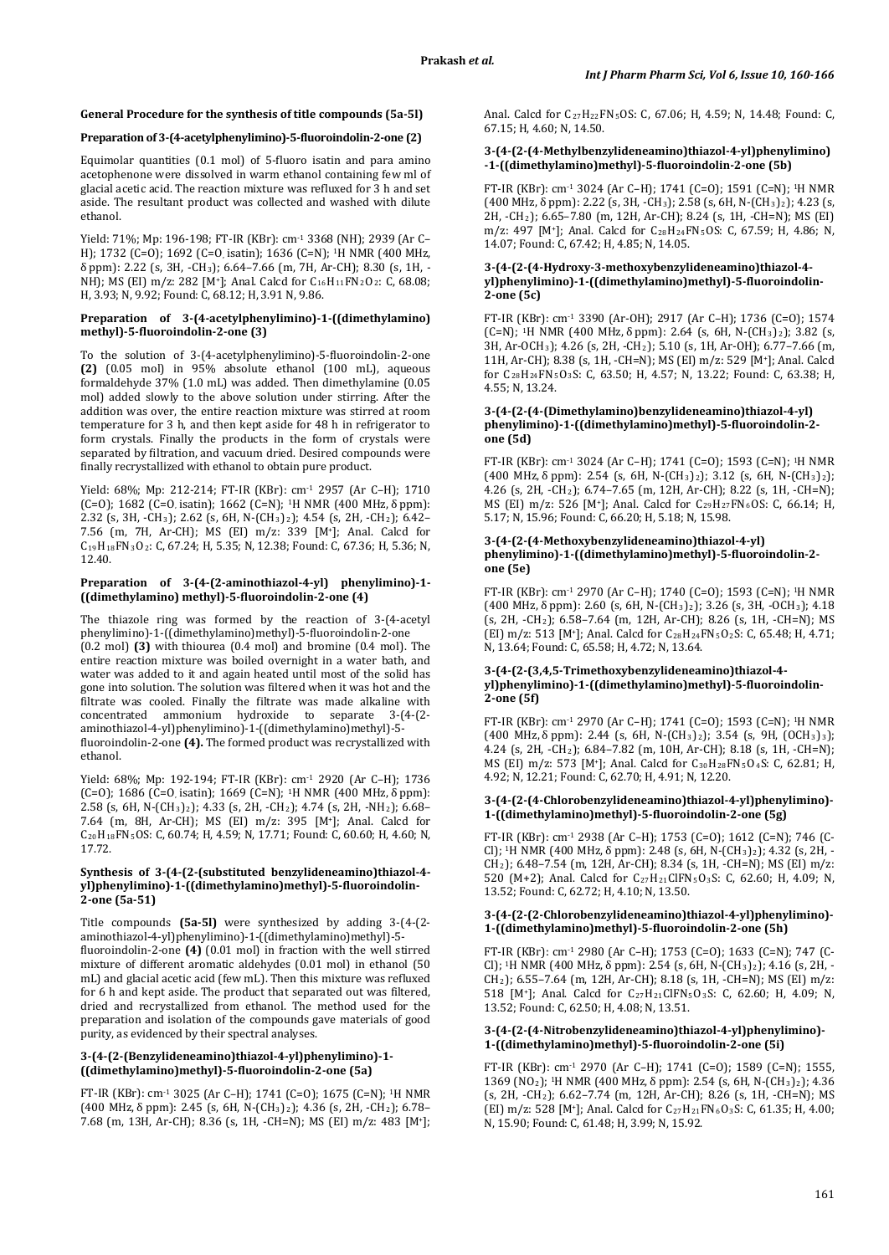## **General Procedure for the synthesis of title compounds (5a-5l)**

## **Preparation of 3-(4-acetylphenylimino)-5-fluoroindolin-2-one (2)**

Equimolar quantities (0.1 mol) of 5-fluoro isatin and para amino acetophenone were dissolved in warm ethanol containing few ml of glacial acetic acid. The reaction mixture was refluxed for 3 h and set aside. The resultant product was collected and washed with dilute ethanol.

Yield: 71%; Mp: 196-198; FT-IR (KBr): cm-1 3368 (NH); 2939 (Ar C– H); 1732 (C=O); 1692 (C=O, isatin); 1636 (C=N); 1H NMR (400 MHz, δ ppm): 2.22 (s, 3H, -CH3); 6.64–7.66 (m, 7H, Ar-CH); 8.30 (s, 1H, - NH); MS (EI) m/z: 282 [M<sup>+</sup>]; Anal. Calcd for  $C_{16}H_{11}FN_2O_2$ : C, 68.08; H, 3.93; N, 9.92; Found: C, 68.12; H, 3.91 N, 9.86.

#### **Preparation of 3-(4-acetylphenylimino)-1-((dimethylamino) methyl)-5-fluoroindolin-2-one (3)**

To the solution of 3-(4-acetylphenylimino)-5-fluoroindolin-2-one **(2)** (0.05 mol) in 95% absolute ethanol (100 mL), aqueous formaldehyde 37% (1.0 mL) was added. Then dimethylamine (0.05 mol) added slowly to the above solution under stirring. After the addition was over, the entire reaction mixture was stirred at room temperature for 3 h, and then kept aside for 48 h in refrigerator to form crystals. Finally the products in the form of crystals were separated by filtration, and vacuum dried. Desired compounds were finally recrystallized with ethanol to obtain pure product.

Yield: 68%; Mp: 212-214; FT-IR (KBr): cm<sup>-1</sup> 2957 (Ar C-H); 1710 (C=O); 1682 (C=O, isatin); 1662 (C=N); 1H NMR (400 MHz, δ ppm): 2.32 (s, 3H, -CH3); 2.62 (s, 6H, N-(CH3)2); 4.54 (s, 2H, -CH2); 6.42– 7.56 (m, 7H, Ar-CH); MS (EI) m/z: 339 [M+]; Anal. Calcd for C19H18FN3O2 : C, 67.24; H, 5.35; N, 12.38; Found: C, 67.36; H, 5.36; N, 12.40.

## **Preparation of 3-(4-(2-aminothiazol-4-yl) phenylimino)-1- ((dimethylamino) methyl)-5-fluoroindolin-2-one (4)**

The thiazole ring was formed by the reaction of 3-(4-acetyl phenylimino)-1-((dimethylamino)methyl)-5-fluoroindolin-2-one (0.2 mol) **(3)** with thiourea (0.4 mol) and bromine (0.4 mol). The entire reaction mixture was boiled overnight in a water bath, and water was added to it and again heated until most of the solid has gone into solution. The solution was filtered when it was hot and the filtrate was cooled. Finally the filtrate was made alkaline with concentrated ammonium hydroxide to separate 3-(4-(2 aminothiazol-4-yl)phenylimino)-1-((dimethylamino)methyl)-5 fluoroindolin-2-one **(4).** The formed product was recrystallized with ethanol.

Yield: 68%; Mp: 192-194; FT-IR (KBr): cm-1 2920 (Ar C–H); 1736 (C=O); 1686 (C=O, isatin); 1669 (C=N); <sup>1</sup>H NMR (400 MHz,  $\delta$  ppm): 2.58 (s, 6H, N-(CH3)2); 4.33 (s, 2H, -CH2); 4.74 (s, 2H, -NH2); 6.68– 7.64 (m, 8H, Ar-CH); MS (EI) m/z: 395 [M+]; Anal. Calcd for C20H18FN5 OS: C, 60.74; H, 4.59; N, 17.71; Found: C, 60.60; H, 4.60; N, 17.72.

## **Synthesis of 3-(4-(2-(substituted benzylideneamino)thiazol-4 yl)phenylimino)-1-((dimethylamino)methyl)-5-fluoroindolin-2-one (5a-51)**

Title compounds **(5a-5l)** were synthesized by adding 3-(4-(2 aminothiazol-4-yl)phenylimino)-1-((dimethylamino)methyl)-5 fluoroindolin-2-one **(4)** (0.01 mol) in fraction with the well stirred mixture of different aromatic aldehydes (0.01 mol) in ethanol (50 mL) and glacial acetic acid (few mL). Then this mixture was refluxed for 6 h and kept aside. The product that separated out was filtered, dried and recrystallized from ethanol. The method used for the preparation and isolation of the compounds gave materials of good purity, as evidenced by their spectral analyses.

## **3-(4-(2-(Benzylideneamino)thiazol-4-yl)phenylimino)-1- ((dimethylamino)methyl)-5-fluoroindolin-2-one (5a)**

FT-IR (KBr): cm-1 3025 (Ar C–H); 1741 (C=O); 1675 (C=N); 1H NMR (400 MHz, δ ppm): 2.45 (s, 6H, N-(CH3)2); 4.36 (s, 2H, -CH2); 6.78– 7.68 (m, 13H, Ar-CH); 8.36 (s, 1H, -CH=N); MS (EI) m/z: 483 [M+];

Anal. Calcd for C27H22FN5 OS: C, 67.06; H, 4.59; N, 14.48; Found: C, 67.15; H, 4.60; N, 14.50.

## **3-(4-(2-(4-Methylbenzylideneamino)thiazol-4-yl)phenylimino) -1-((dimethylamino)methyl)-5-fluoroindolin-2-one (5b)**

FT-IR (KBr): cm-1 3024 (Ar C–H); 1741 (C=O); 1591 (C=N); 1H NMR (400 MHz,  $\delta$  ppm): 2.22 (s, 3H, -CH<sub>3</sub>); 2.58 (s, 6H, N-(CH<sub>3</sub>)<sub>2</sub>); 4.23 (s, 2H, -CH2); 6.65–7.80 (m, 12H, Ar-CH); 8.24 (s, 1H, -CH=N); MS (EI) m/z: 497 [M<sup>+</sup>]; Anal. Calcd for  $C_{28}H_{24}F N_5OS$ : C, 67.59; H, 4.86; N, 14.07; Found: C, 67.42; H, 4.85; N, 14.05.

## **3-(4-(2-(4-Hydroxy-3-methoxybenzylideneamino)thiazol-4 yl)phenylimino)-1-((dimethylamino)methyl)-5-fluoroindolin-2-one (5c)**

FT-IR (KBr): cm-1 3390 (Ar-OH); 2917 (Ar C–H); 1736 (C=O); 1574 (C=N); 1H NMR (400 MHz, δ ppm): 2.64 (s, 6H, N-(CH3)2); 3.82 (s, 3H, Ar-OCH3); 4.26 (s, 2H, -CH2); 5.10 (s, 1H, Ar-OH); 6.77–7.66 (m, 11H, Ar-CH); 8.38 (s, 1H, -CH=N); MS (EI) m/z: 529 [M+]; Anal. Calcd for C28H24FN5O3 S: C, 63.50; H, 4.57; N, 13.22; Found: C, 63.38; H, 4.55; N, 13.24.

## **3-(4-(2-(4-(Dimethylamino)benzylideneamino)thiazol-4-yl) phenylimino)-1-((dimethylamino)methyl)-5-fluoroindolin-2 one (5d)**

FT-IR (KBr): cm-1 3024 (Ar C–H); 1741 (C=O); 1593 (C=N); 1H NMR (400 MHz, δ ppm): 2.54 (s, 6H, N-(CH3)2); 3.12 (s, 6H, N-(CH3)2); 4.26 (s, 2H, -CH2); 6.74–7.65 (m, 12H, Ar-CH); 8.22 (s, 1H, -CH=N); MS (EI) m/z: 526 [M<sup>+</sup>]; Anal. Calcd for C<sub>29</sub>H<sub>27</sub>FN<sub>6</sub>OS: C, 66.14; H, 5.17; N, 15.96; Found: C, 66.20; H, 5.18; N, 15.98.

#### **3-(4-(2-(4-Methoxybenzylideneamino)thiazol-4-yl) phenylimino)-1-((dimethylamino)methyl)-5-fluoroindolin-2 one (5e)**

FT-IR (KBr): cm-1 2970 (Ar C–H); 1740 (C=O); 1593 (C=N); 1H NMR (400 MHz, δ ppm): 2.60 (s, 6H, N-(CH3)2); 3.26 (s, 3H, -OCH3); 4.18 (s, 2H, -CH2); 6.58–7.64 (m, 12H, Ar-CH); 8.26 (s, 1H, -CH=N); MS  $[EL]$  m/z: 513  $[M^+]$ ; Anal. Calcd for C<sub>28</sub>H<sub>24</sub>FN<sub>5</sub>O<sub>2</sub>S: C, 65.48; H, 4.71; N, 13.64; Found: C, 65.58; H, 4.72; N, 13.64.

## **3-(4-(2-(3,4,5-Trimethoxybenzylideneamino)thiazol-4 yl)phenylimino)-1-((dimethylamino)methyl)-5-fluoroindolin-2-one (5f)**

FT-IR (KBr): cm-1 2970 (Ar C–H); 1741 (C=O); 1593 (C=N); 1H NMR (400 MHz, δ ppm): 2.44 (s, 6H, N-(CH3)2); 3.54 (s, 9H, (OCH3)3);  $4.24$  (s, 2H,  $-CH_2$ ); 6.84–7.82 (m, 10H, Ar-CH); 8.18 (s, 1H, -CH=N); MS (EI) m/z: 573 [M+]; Anal. Calcd for C30H28FN5O4 S: C, 62.81; H, 4.92; N, 12.21; Found: C, 62.70; H, 4.91; N, 12.20.

#### **3-(4-(2-(4-Chlorobenzylideneamino)thiazol-4-yl)phenylimino)- 1-((dimethylamino)methyl)-5-fluoroindolin-2-one (5g)**

FT-IR (KBr): cm-1 2938 (Ar C–H); 1753 (C=O); 1612 (C=N); 746 (C-Cl); 1H NMR (400 MHz, δ ppm): 2.48 (s, 6H, N-(CH3)2); 4.32 (s, 2H, - CH2); 6.48–7.54 (m, 12H, Ar-CH); 8.34 (s, 1H, -CH=N); MS (EI) m/z: 520 (M+2); Anal. Calcd for C27H21ClFN5O3 S: C, 62.60; H, 4.09; N, 13.52; Found: C, 62.72; H, 4.10; N, 13.50.

#### **3-(4-(2-(2-Chlorobenzylideneamino)thiazol-4-yl)phenylimino)- 1-((dimethylamino)methyl)-5-fluoroindolin-2-one (5h)**

FT-IR (KBr): cm-1 2980 (Ar C–H); 1753 (C=O); 1633 (C=N); 747 (C-Cl); 1H NMR (400 MHz, δ ppm): 2.54 (s, 6H, N-(CH3)2); 4.16 (s, 2H, -  $CH<sub>2</sub>$ ); 6.55–7.64 (m, 12H, Ar-CH); 8.18 (s, 1H, -CH=N); MS (EI) m/z: 518 [M<sup>+</sup>]; Anal. Calcd for  $C_{27}H_{21}CHN_5O_3S$ : C, 62.60; H, 4.09; N, 13.52; Found: C, 62.50; H, 4.08; N, 13.51.

### **3-(4-(2-(4-Nitrobenzylideneamino)thiazol-4-yl)phenylimino)- 1-((dimethylamino)methyl)-5-fluoroindolin-2-one (5i)**

FT-IR (KBr): cm-1 2970 (Ar C–H); 1741 (C=O); 1589 (C=N); 1555, 1369 (NO2); 1H NMR (400 MHz, δ ppm): 2.54 (s, 6H, N-(CH3)2); 4.36 (s, 2H, -CH2); 6.62–7.74 (m, 12H, Ar-CH); 8.26 (s, 1H, -CH=N); MS (EI) m/z: 528 [M<sup>+</sup>]; Anal. Calcd for C<sub>27</sub>H<sub>21</sub>FN<sub>6</sub>O<sub>3</sub>S: C, 61.35; H, 4.00; N, 15.90; Found: C, 61.48; H, 3.99; N, 15.92.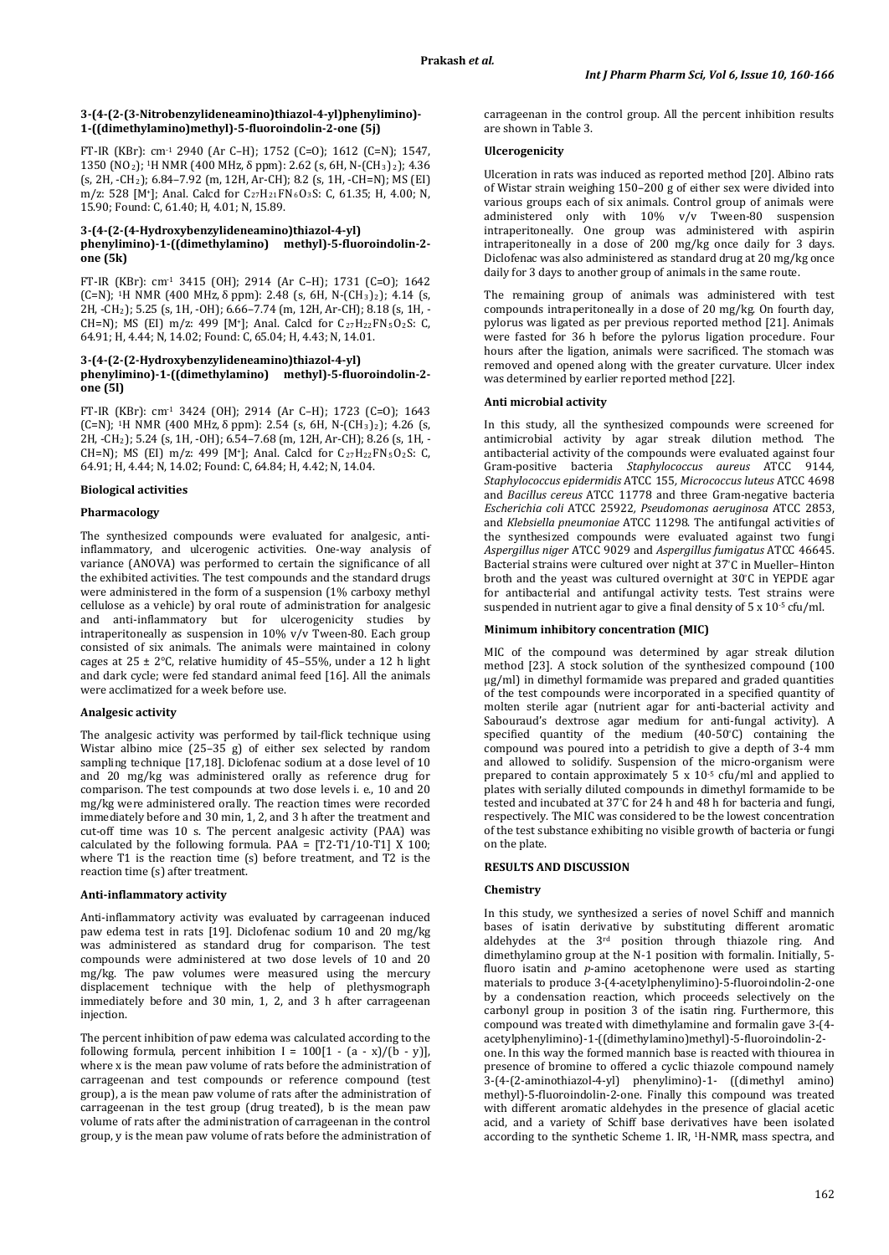#### **3-(4-(2-(3-Nitrobenzylideneamino)thiazol-4-yl)phenylimino)- 1-((dimethylamino)methyl)-5-fluoroindolin-2-one (5j)**

FT-IR (KBr): cm-1 2940 (Ar C–H); 1752 (C=O); 1612 (C=N); 1547, 1350 (NO2); 1H NMR (400 MHz, δ ppm): 2.62 (s, 6H, N-(CH3)2); 4.36 (s, 2H, -CH2); 6.84–7.92 (m, 12H, Ar-CH); 8.2 (s, 1H, -CH=N); MS (EI) m/z: 528 [M<sup>+</sup>]; Anal. Calcd for C<sub>27</sub>H<sub>21</sub>FN<sub>6</sub>O<sub>3</sub>S: C, 61.35; H, 4.00; N, 15.90; Found: C, 61.40; H, 4.01; N, 15.89.

#### **3-(4-(2-(4-Hydroxybenzylideneamino)thiazol-4-yl) phenylimino)-1-((dimethylamino) methyl)-5-fluoroindolin-2 one (5k)**

FT-IR (KBr): cm-1 3415 (OH); 2914 (Ar C–H); 1731 (C=O); 1642 (C=N); 1H NMR (400 MHz, δ ppm): 2.48 (s, 6H, N-(CH3)2); 4.14 (s, 2H, -CH2); 5.25 (s, 1H, -OH); 6.66–7.74 (m, 12H, Ar-CH); 8.18 (s, 1H, - CH=N); MS (EI) m/z: 499 [M<sup>+</sup>]; Anal. Calcd for  $C_{27}H_{22}FN_5O_2S$ : C, 64.91; H, 4.44; N, 14.02; Found: C, 65.04; H, 4.43; N, 14.01.

#### **3-(4-(2-(2-Hydroxybenzylideneamino)thiazol-4-yl) phenylimino)-1-((dimethylamino) methyl)-5-fluoroindolin-2 one (5l)**

FT-IR (KBr): cm-1 3424 (OH); 2914 (Ar C–H); 1723 (C=O); 1643 (C=N); <sup>1</sup>H NMR (400 MHz, δ ppm): 2.54 (s, 6H, N-(CH<sub>3</sub>)<sub>2</sub>); 4.26 (s, 2H, -CH2); 5.24 (s, 1H, -OH); 6.54–7.68 (m, 12H, Ar-CH); 8.26 (s, 1H, - CH=N); MS (EI) m/z: 499 [M<sup>+</sup>]; Anal. Calcd for  $C_{27}H_{22}FN_5O_2S$ : C, 64.91; H, 4.44; N, 14.02; Found: C, 64.84; H, 4.42; N, 14.04.

#### **Biological activities**

#### **Pharmacology**

The synthesized compounds were evaluated for analgesic, antiinflammatory, and ulcerogenic activities. One-way analysis of variance (ANOVA) was performed to certain the significance of all the exhibited activities. The test compounds and the standard drugs were administered in the form of a suspension (1% carboxy methyl cellulose as a vehicle) by oral route of administration for analgesic<br>and anti-inflammatory but for ulcerogenicity studies by and anti-inflammatory but for ulcerogenicity studies intraperitoneally as suspension in 10% v/v Tween-80. Each group consisted of six animals. The animals were maintained in colony cages at  $25 \pm 2$ °C, relative humidity of 45–55%, under a 12 h light and dark cycle; were fed standard animal feed [16]. All the animals were acclimatized for a week before use.

#### **Analgesic activity**

The analgesic activity was performed by tail-flick technique using Wistar albino mice (25–35 g) of either sex selected by random sampling technique [17,18]. Diclofenac sodium at a dose level of 10 and 20 mg/kg was administered orally as reference drug for comparison. The test compounds at two dose levels i. e., 10 and 20 mg/kg were administered orally. The reaction times were recorded immediately before and 30 min, 1, 2, and 3 h after the treatment and cut-off time was 10 s. The percent analgesic activity (PAA) was calculated by the following formula. PAA =  $[T2-T1/10-T1]$  X 100; where T1 is the reaction time (s) before treatment, and T2 is the reaction time (s) after treatment.

#### **Anti-inflammatory activity**

Anti-inflammatory activity was evaluated by carrageenan induced paw edema test in rats [19]. Diclofenac sodium 10 and 20 mg/kg was administered as standard drug for comparison. The test compounds were administered at two dose levels of 10 and 20 mg/kg. The paw volumes were measured using the mercury displacement technique with the help of plethysmograph immediately before and 30 min, 1, 2, and 3 h after carrageenan injection.

The percent inhibition of paw edema was calculated according to the following formula, percent inhibition  $I = 100[1 - (a - x)/(b - y)]$ , where x is the mean paw volume of rats before the administration of carrageenan and test compounds or reference compound (test group), a is the mean paw volume of rats after the administration of carrageenan in the test group (drug treated), b is the mean paw volume of rats after the administration of carrageenan in the control group, y is the mean paw volume of rats before the administration of carrageenan in the control group. All the percent inhibition results are shown in Table 3.

#### **Ulcerogenicity**

Ulceration in rats was induced as reported method [20]. Albino rats of Wistar strain weighing 150–200 g of either sex were divided into various groups each of six animals. Control group of animals were administered only with 10% v/v Tween-80 suspension intraperitoneally. One group was administered with aspirin intraperitoneally in a dose of 200 mg/kg once daily for 3 days. Diclofenac was also administered as standard drug at 20 mg/kg once daily for 3 days to another group of animals in the same route.

The remaining group of animals was administered with test compounds intraperitoneally in a dose of 20 mg/kg. On fourth day, pylorus was ligated as per previous reported method [21]. Animals were fasted for 36 h before the pylorus ligation procedure. Four hours after the ligation, animals were sacrificed. The stomach was removed and opened along with the greater curvature. Ulcer index was determined by earlier reported method [22].

#### **Anti microbial activity**

In this study, all the synthesized compounds were screened for antimicrobial activity by agar streak dilution method. The antibacterial activity of the compounds were evaluated against four Gram-positive bacteria *Staphylococcus aureus* ATCC 9144*, Staphylococcus epidermidis* ATCC 155*, Micrococcus luteus* ATCC 4698 and *Bacillus cereus* ATCC 11778 and three Gram-negative bacteria *Escherichia coli* ATCC 25922*, Pseudomonas aeruginosa* ATCC 2853, and *Klebsiella pneumoniae* ATCC 11298. The antifungal activities of the synthesized compounds were evaluated against two fungi *Aspergillus niger* ATCC 9029 and *Aspergillus fumigatus* ATCC 46645. Bacterial strains were cultured over night at 37° C in Mueller–Hinton broth and the yeast was cultured overnight at 30° C in YEPDE agar for antibacterial and antifungal activity tests. Test strains were suspended in nutrient agar to give a final density of  $5 \times 10^{5}$  cfu/ml.

#### **Minimum inhibitory concentration (MIC)**

MIC of the compound was determined by agar streak dilution method [23]. A stock solution of the synthesized compound (100 µg/ml) in dimethyl formamide was prepared and graded quantities of the test compounds were incorporated in a specified quantity of molten sterile agar (nutrient agar for anti-bacterial activity and Sabouraud's dextrose agar medium for anti-fungal activity). A specified quantity of the medium (40-50° C) containing the compound was poured into a petridish to give a depth of 3-4 mm and allowed to solidify. Suspension of the micro-organism were prepared to contain approximately 5 x  $10^{-5}$  cfu/ml and applied to plates with serially diluted compounds in dimethyl formamide to be tested and incubated at 37° C for 24 h and 48 h for bacteria and fungi, respectively. The MIC was considered to be the lowest concentration of the test substance exhibiting no visible growth of bacteria or fungi on the plate.

## **RESULTS AND DISCUSSION**

#### **Chemistry**

In this study, we synthesized a series of novel Schiff and mannich bases of isatin derivative by substituting different aromatic aldehydes at the 3rd position through thiazole ring. And dimethylamino group at the N-1 position with formalin. Initially, 5 fluoro isatin and *p*-amino acetophenone were used as starting materials to produce 3-(4-acetylphenylimino)-5-fluoroindolin-2-one by a condensation reaction, which proceeds selectively on the carbonyl group in position 3 of the isatin ring. Furthermore, this compound was treated with dimethylamine and formalin gave 3-(4 acetylphenylimino)-1-((dimethylamino)methyl)-5-fluoroindolin-2 one. In this way the formed mannich base is reacted with thiourea in presence of bromine to offered a cyclic thiazole compound namely 3-(4-(2-aminothiazol-4-yl) phenylimino)-1- ((dimethyl amino) methyl)-5-fluoroindolin-2-one. Finally this compound was treated with different aromatic aldehydes in the presence of glacial acetic acid, and a variety of Schiff base derivatives have been isolated according to the synthetic Scheme 1. IR, 1H-NMR, mass spectra, and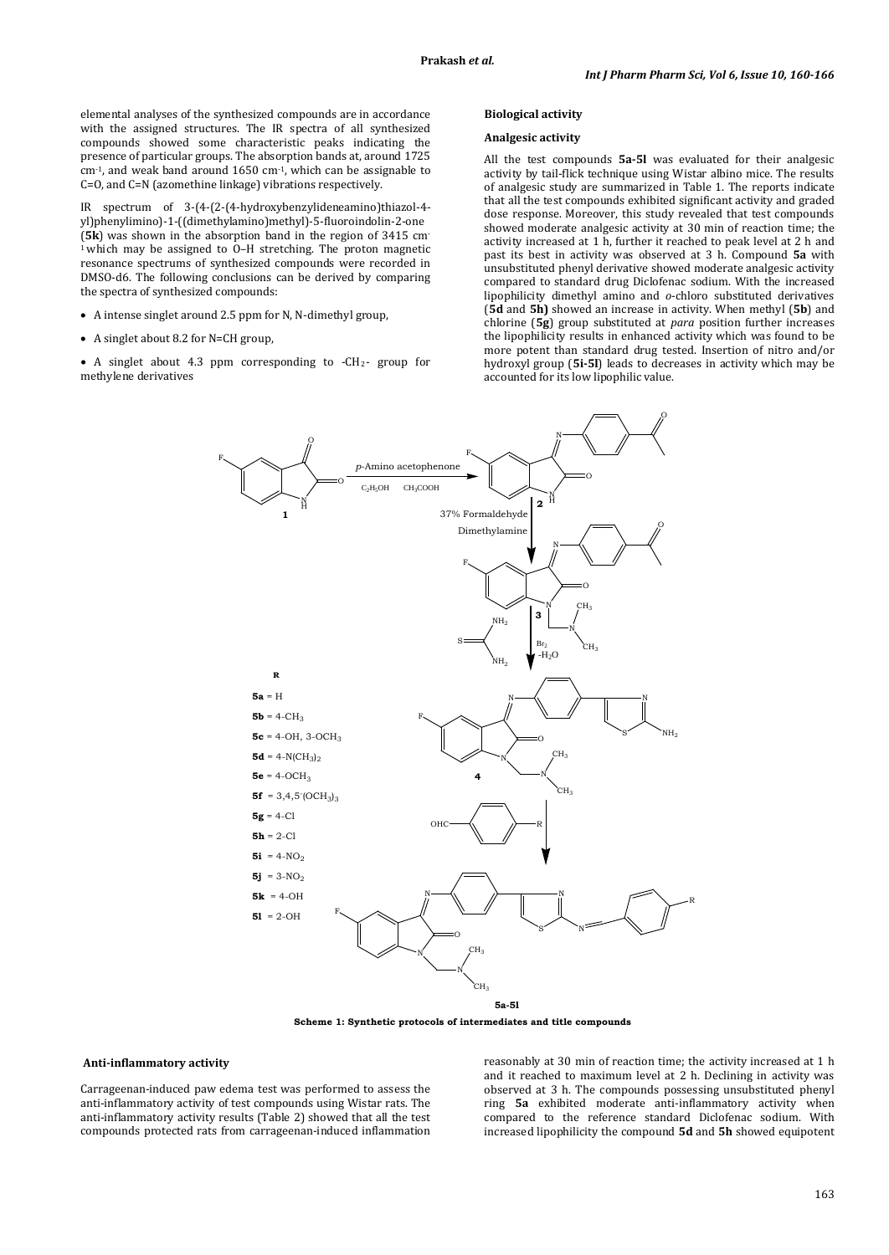elemental analyses of the synthesized compounds are in accordance with the assigned structures. The IR spectra of all synthesized compounds showed some characteristic peaks indicating the presence of particular groups. The absorption bands at, around 1725 cm-1, and weak band around 1650 cm-1, which can be assignable to C=O, and C=N (azomethine linkage) vibrations respectively.

IR spectrum of 3-(4-(2-(4-hydroxybenzylideneamino)thiazol-4 yl)phenylimino)-1-((dimethylamino)methyl)-5-fluoroindolin-2-one (**5k**) was shown in the absorption band in the region of 3415 cm-1 which may be assigned to O–H stretching. The proton magnetic resonance spectrums of synthesized compounds were recorded in DMSO-d6. The following conclusions can be derived by comparing the spectra of synthesized compounds:

• A intense singlet around 2.5 ppm for N, N-dimethyl group,

F

• A singlet about 8.2 for N=CH group,

• A singlet about 4.3 ppm corresponding to -CH2 - group for methylene derivatives

#### **Biological activity**

## **Analgesic activity**

All the test compounds **5a-5l** was evaluated for their analgesic activity by tail-flick technique using Wistar albino mice. The results of analgesic study are summarized in Table 1. The reports indicate that all the test compounds exhibited significant activity and graded dose response. Moreover, this study revealed that test compounds showed moderate analgesic activity at 30 min of reaction time; the activity increased at 1 h, further it reached to peak level at 2 h and past its best in activity was observed at 3 h. Compound **5a** with unsubstituted phenyl derivative showed moderate analgesic activity compared to standard drug Diclofenac sodium. With the increased lipophilicity dimethyl amino and *o*-chloro substituted derivatives (**5d** and **5h)** showed an increase in activity. When methyl (**5b**) and chlorine (**5g**) group substituted at *para* position further increases the lipophilicity results in enhanced activity which was found to be more potent than standard drug tested. Insertion of nitro and/or hydroxyl group (**5i-5l**) leads to decreases in activity which may be accounted for its low lipophilic value.



**Scheme 1: Synthetic protocols of intermediates and title compounds**

#### **Anti-inflammatory activity**

Carrageenan-induced paw edema test was performed to assess the anti-inflammatory activity of test compounds using Wistar rats. The anti-inflammatory activity results (Table 2) showed that all the test compounds protected rats from carrageenan-induced inflammation

reasonably at 30 min of reaction time; the activity increased at 1 h and it reached to maximum level at 2 h. Declining in activity was observed at 3 h. The compounds possessing unsubstituted phenyl ring **5a** exhibited moderate anti-inflammatory activity when compared to the reference standard Diclofenac sodium. With increased lipophilicity the compound **5d** and **5h** showed equipotent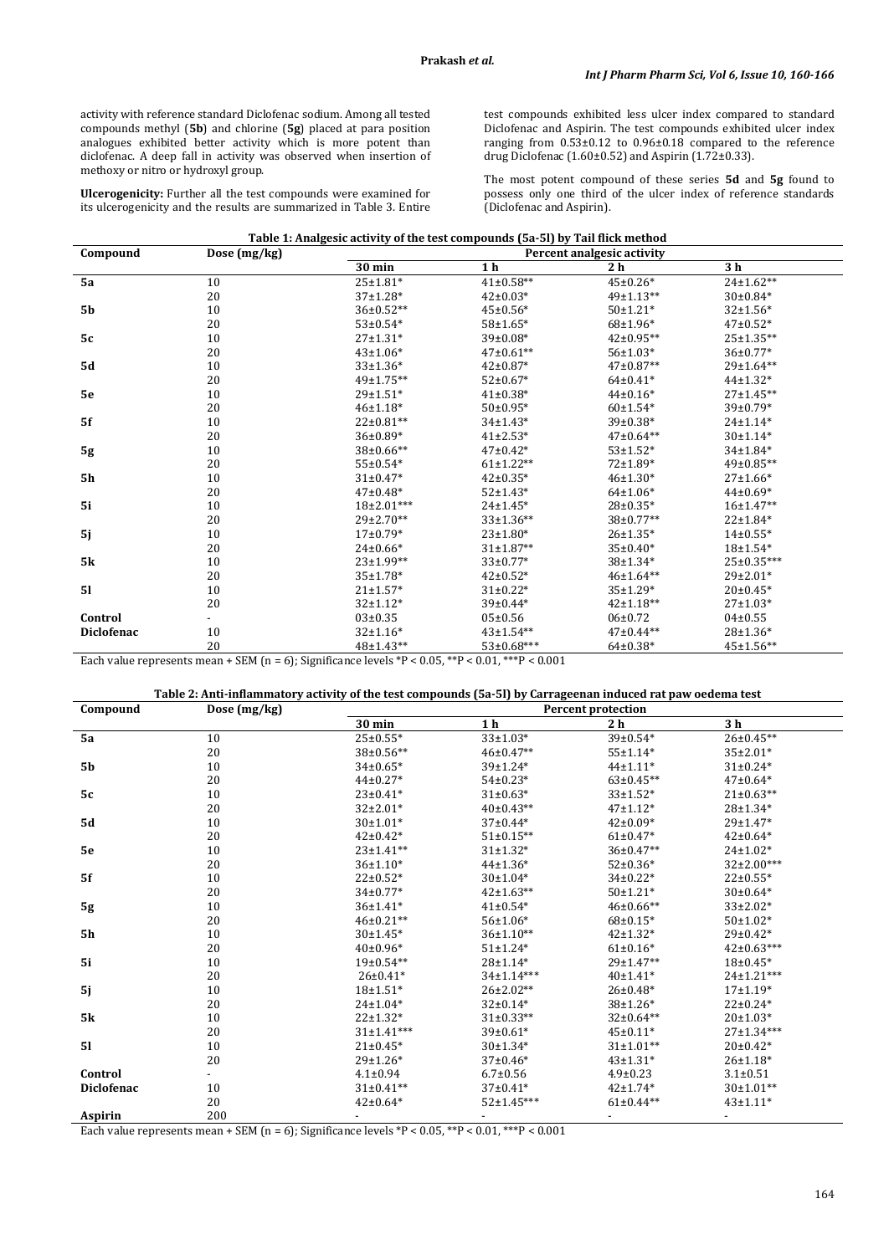activity with reference standard Diclofenac sodium. Among all tested compounds methyl (**5b**) and chlorine (**5g**) placed at para position analogues exhibited better activity which is more potent than diclofenac. A deep fall in activity was observed when insertion of methoxy or nitro or hydroxyl group.

**Ulcerogenicity:** Further all the test compounds were examined for its ulcerogenicity and the results are summarized in Table 3. Entire test compounds exhibited less ulcer index compared to standard Diclofenac and Aspirin. The test compounds exhibited ulcer index ranging from  $0.53\pm0.12$  to  $0.96\pm0.18$  compared to the reference drug Diclofenac (1.60±0.52) and Aspirin (1.72±0.33).

The most potent compound of these series **5d** and **5g** found to possess only one third of the ulcer index of reference standards (Diclofenac and Aspirin).

| Table 1: Analgesic activity of the test compounds (5a-5l) by Tail flick method |                |                            |                  |                  |                  |  |  |
|--------------------------------------------------------------------------------|----------------|----------------------------|------------------|------------------|------------------|--|--|
| Compound                                                                       | Dose $(mg/kg)$ | Percent analgesic activity |                  |                  |                  |  |  |
|                                                                                |                | 30 min                     | 1 <sub>h</sub>   | 2 <sub>h</sub>   | 3 h              |  |  |
| 5a                                                                             | 10             | $25 \pm 1.81*$             | $41\pm0.58**$    | $45 \pm 0.26*$   | $24 \pm 1.62**$  |  |  |
|                                                                                | 20             | $37+1.28*$                 | $42 \pm 0.03*$   | $49 \pm 1.13**$  | $30\pm0.84*$     |  |  |
| <b>5b</b>                                                                      | 10             | $36\pm0.52**$              | $45 \pm 0.56*$   | $50±1.21*$       | $32+1.56*$       |  |  |
|                                                                                | 20             | $53 \pm 0.54*$             | $58 \pm 1.65*$   | $68 \pm 1.96*$   | $47 \pm 0.52$ *  |  |  |
| 5c                                                                             | 10             | $27+1.31*$                 | $39 \pm 0.08*$   | $42\pm0.95**$    | $25 \pm 1.35***$ |  |  |
|                                                                                | 20             | $43 \pm 1.06*$             | $47\pm0.61**$    | $56 \pm 1.03*$   | $36 \pm 0.77*$   |  |  |
| <b>5d</b>                                                                      | 10             | $33+1.36*$                 | $42 \pm 0.87*$   | $47\pm0.87**$    | $29+1.64**$      |  |  |
|                                                                                | 20             | $49 \pm 1.75***$           | $52 \pm 0.67*$   | $64\pm0.41*$     | $44\pm1.32*$     |  |  |
| 5e                                                                             | 10             | $29 \pm 1.51$ *            | $41\pm0.38*$     | $44\pm0.16*$     | $27+1.45**$      |  |  |
|                                                                                | 20             | $46±1.18*$                 | $50\pm0.95*$     | $60±1.54*$       | $39 \pm 0.79*$   |  |  |
| 5f                                                                             | 10             | $22 \pm 0.81**$            | $34\pm1.43*$     | $39 \pm 0.38*$   | $24 \pm 1.14*$   |  |  |
|                                                                                | 20             | $36\pm0.89*$               | $41\pm2.53*$     | $47\pm0.64**$    | $30+1.14*$       |  |  |
| 5g                                                                             | 10             | $38\pm0.66**$              | $47 \pm 0.42*$   | $53 \pm 1.52$ *  | $34 \pm 1.84*$   |  |  |
|                                                                                | 20             | $55 \pm 0.54*$             | $61\pm1.22**$    | $72 \pm 1.89*$   | $49\pm0.85***$   |  |  |
| <b>5h</b>                                                                      | 10             | $31\pm0.47*$               | $42 \pm 0.35*$   | $46 \pm 1.30*$   | $27 \pm 1.66*$   |  |  |
|                                                                                | 20             | $47 \pm 0.48*$             | $52 \pm 1.43*$   | $64{\pm}1.06*$   | $44\pm0.69*$     |  |  |
| 5i                                                                             | 10             | $18\pm2.01***$             | $24 \pm 1.45*$   | $28 \pm 0.35*$   | $16+1.47**$      |  |  |
|                                                                                | 20             | $29\pm2.70**$              | $33{\pm}1.36**$  | 38±0.77**        | $22 \pm 1.84*$   |  |  |
| 5j                                                                             | 10             | $17 \pm 0.79*$             | $23 \pm 1.80^*$  | $26 \pm 1.35*$   | $14\pm0.55*$     |  |  |
|                                                                                | 20             | $24\pm0.66*$               | $31\pm1.87**$    | $35 \pm 0.40*$   | $18±1.54*$       |  |  |
| <b>5k</b>                                                                      | 10             | $23+1.99**$                | $33\pm0.77*$     | $38±1.34*$       | $25 \pm 0.35***$ |  |  |
|                                                                                | 20             | $35 \pm 1.78$ *            | $42 \pm 0.52*$   | $46 \pm 1.64$ ** | $29\pm2.01*$     |  |  |
| 51                                                                             | 10             | $21 \pm 1.57$ *            | $31\pm0.22*$     | $35+1.29*$       | $20\pm0.45*$     |  |  |
|                                                                                | 20             | $32+1.12*$                 | $39 \pm 0.44*$   | $42 \pm 1.18***$ | $27 \pm 1.03*$   |  |  |
| Control                                                                        |                | $03 \pm 0.35$              | $05 \pm 0.56$    | $06 \pm 0.72$    | $04\pm0.55$      |  |  |
| <b>Diclofenac</b>                                                              | 10             | $32 \pm 1.16*$             | $43 \pm 1.54***$ | $47\pm0.44**$    | $28 \pm 1.36*$   |  |  |
|                                                                                | 20             | 48±1.43**                  | 53±0.68***       | $64 \pm 0.38*$   | 45±1.56**        |  |  |

Each value represents mean + SEM (n = 6); Significance levels  $^{\ast}$ P < 0.05,  $^{\ast\ast}$ P < 0.01,  $^{\ast\ast\ast}$ P < 0.001

| Compound          | Dose (mg/kg) | <b>Percent protection</b> |                  |                 |                  |  |
|-------------------|--------------|---------------------------|------------------|-----------------|------------------|--|
|                   |              | 30 min                    | 1 <sub>h</sub>   | 2 <sub>h</sub>  | 3 <sub>h</sub>   |  |
| 5a                | 10           | $25 \pm 0.55*$            | $33 \pm 1.03*$   | $39 \pm 0.54*$  | $26 \pm 0.45***$ |  |
|                   | 20           | $38\pm0.56**$             | $46 \pm 0.47**$  | $55±1.14*$      | $35\pm2.01*$     |  |
| <b>5b</b>         | 10           | $34\pm0.65*$              | $39±1.24*$       | $44 \pm 1.11*$  | $31 \pm 0.24*$   |  |
|                   | 20           | $44\pm0.27*$              | $54\pm0.23*$     | $63\pm0.45**$   | $47\pm0.64*$     |  |
| 5c                | 10           | $23 \pm 0.41*$            | $31\pm0.63*$     | $33+1.52*$      | $21 \pm 0.63$ ** |  |
|                   | 20           | $32\pm2.01*$              | $40\pm0.43**$    | $47 \pm 1.12*$  | $28 + 1.34*$     |  |
| <b>5d</b>         | 10           | $30±1.01*$                | $37\pm0.44*$     | $42\pm0.09*$    | $29 \pm 1.47*$   |  |
|                   | 20           | $42 \pm 0.42*$            | $51\pm0.15***$   | $61\pm0.47*$    | $42 \pm 0.64*$   |  |
| 5e                | 10           | $23 \pm 1.41**$           | $31±1.32*$       | $36\pm0.47**$   | $24 \pm 1.02*$   |  |
|                   | 20           | $36±1.10*$                | $44\pm1.36*$     | $52 \pm 0.36*$  | $32\pm2.00***$   |  |
| 5f                | 10           | $22 \pm 0.52^*$           | $30±1.04*$       | $34\pm0.22*$    | $22 \pm 0.55*$   |  |
|                   | 20           | $34\pm0.77*$              | $42 \pm 1.63$ ** | $50±1.21*$      | $30\pm0.64*$     |  |
| 5g                | 10           | $36±1.41*$                | $41\pm0.54*$     | 46±0.66**       | $33\pm2.02*$     |  |
|                   | 20           | $46\pm0.21**$             | $56 \pm 1.06*$   | $68 \pm 0.15*$  | $50±1.02*$       |  |
| <b>5h</b>         | 10           | $30±1.45*$                | $36 \pm 1.10**$  | $42 \pm 1.32*$  | $29 \pm 0.42*$   |  |
|                   | 20           | $40\pm0.96*$              | $51 \pm 1.24*$   | $61\pm0.16*$    | $42 \pm 0.63***$ |  |
| 5i                | 10           | $19\pm0.54**$             | $28±1.14*$       | $29 \pm 1.47**$ | $18\pm0.45*$     |  |
|                   | 20           | $26 \pm 0.41*$            | $34 \pm 1.14***$ | $40±1.41*$      | $24 \pm 1.21***$ |  |
| 5j                | 10           | $18+1.51*$                | $26 \pm 2.02**$  | $26 \pm 0.48*$  | $17+1.19*$       |  |
|                   | 20           | $24 \pm 1.04*$            | $32 \pm 0.14*$   | $38+1.26*$      | $22 \pm 0.24*$   |  |
| <b>5k</b>         | 10           | $22 + 1.32*$              | $31\pm0.33**$    | $32\pm0.64**$   | $20±1.03*$       |  |
|                   | 20           | $31\pm1.41***$            | $39 \pm 0.61*$   | $45 \pm 0.11*$  | $27+1.34***$     |  |
| 51                | 10           | $21 \pm 0.45*$            | $30±1.34*$       | $31\pm1.01**$   | $20\pm0.42*$     |  |
|                   | 20           | $29±1.26*$                | $37\pm0.46*$     | $43 \pm 1.31*$  | $26 \pm 1.18*$   |  |
| Control           |              | $4.1 \pm 0.94$            | $6.7 \pm 0.56$   | $4.9 \pm 0.23$  | $3.1 \pm 0.51$   |  |
| <b>Diclofenac</b> | 10           | $31\pm0.41**$             | $37 \pm 0.41*$   | $42 \pm 1.74*$  | $30\pm1.01**$    |  |
|                   | 20           | $42 \pm 0.64*$            | $52 \pm 1.45***$ | $61\pm0.44**$   | $43 \pm 1.11*$   |  |
| Aspirin           | 200          |                           |                  |                 |                  |  |

Each value represents mean + SEM (n = 6); Significance levels  ${}^*P$  < 0.05,  ${}^{**P}$  < 0.01,  ${}^{***P}$  < 0.001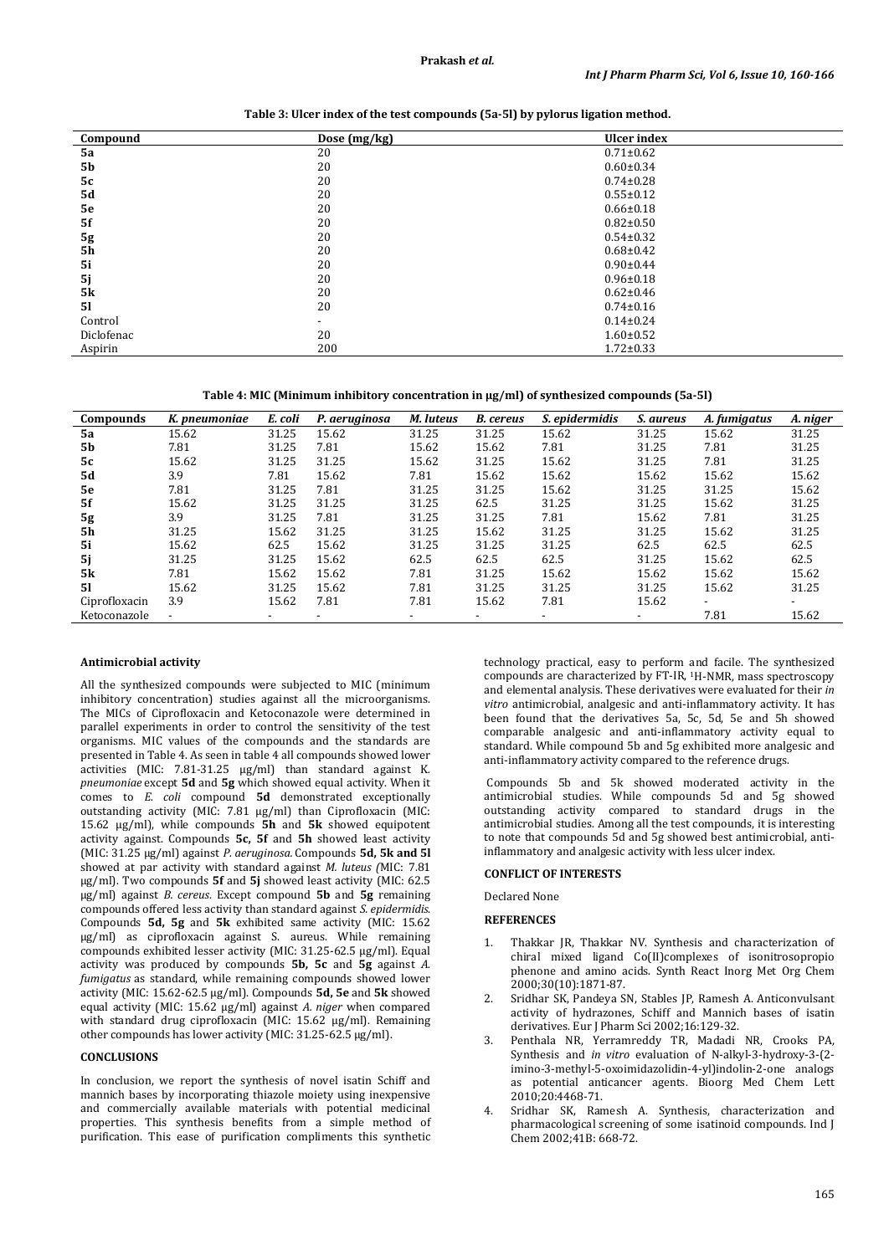| Compound   | Dose (mg/kg) | <b>Ulcer</b> index |
|------------|--------------|--------------------|
| 5a         | 20           | $0.71 \pm 0.62$    |
| <b>5b</b>  | 20           | $0.60 \pm 0.34$    |
| 5c         | 20           | $0.74 \pm 0.28$    |
| 5d         | 20           | $0.55 \pm 0.12$    |
| 5e         | 20           | $0.66 \pm 0.18$    |
| 5f         | 20           | $0.82 \pm 0.50$    |
| 5g         | 20           | $0.54 \pm 0.32$    |
| <b>5h</b>  | 20           | $0.68 \pm 0.42$    |
| 5i         | 20           | $0.90 \pm 0.44$    |
| 5j         | 20           | $0.96 \pm 0.18$    |
| <b>5k</b>  | 20           | $0.62 \pm 0.46$    |
| 51         | 20           | $0.74 \pm 0.16$    |
| Control    |              | $0.14 \pm 0.24$    |
| Diclofenac | 20           | $1.60 \pm 0.52$    |
| Aspirin    | 200          | $1.72 \pm 0.33$    |

**Table 3: Ulcer index of the test compounds (5a-5l) by pylorus ligation method.**

**Table 4: MIC (Minimum inhibitory concentration in µg/ml) of synthesized compounds (5a-5l)**

| <b>Compounds</b> | K. pneumoniae            | E. coli | P. aeruginosa | M. luteus | <b>B.</b> cereus         | S. epidermidis | <i>S. aureus</i> | A. fumigatus             | A. niger |
|------------------|--------------------------|---------|---------------|-----------|--------------------------|----------------|------------------|--------------------------|----------|
| 5a               | 15.62                    | 31.25   | 15.62         | 31.25     | 31.25                    | 15.62          | 31.25            | 15.62                    | 31.25    |
| 5b               | 7.81                     | 31.25   | 7.81          | 15.62     | 15.62                    | 7.81           | 31.25            | 7.81                     | 31.25    |
| 5с               | 15.62                    | 31.25   | 31.25         | 15.62     | 31.25                    | 15.62          | 31.25            | 7.81                     | 31.25    |
| <b>5d</b>        | 3.9                      | 7.81    | 15.62         | 7.81      | 15.62                    | 15.62          | 15.62            | 15.62                    | 15.62    |
| 5e               | 7.81                     | 31.25   | 7.81          | 31.25     | 31.25                    | 15.62          | 31.25            | 31.25                    | 15.62    |
| 5f               | 15.62                    | 31.25   | 31.25         | 31.25     | 62.5                     | 31.25          | 31.25            | 15.62                    | 31.25    |
| 5g               | 3.9                      | 31.25   | 7.81          | 31.25     | 31.25                    | 7.81           | 15.62            | 7.81                     | 31.25    |
| <b>5h</b>        | 31.25                    | 15.62   | 31.25         | 31.25     | 15.62                    | 31.25          | 31.25            | 15.62                    | 31.25    |
| 5i               | 15.62                    | 62.5    | 15.62         | 31.25     | 31.25                    | 31.25          | 62.5             | 62.5                     | 62.5     |
| 5j               | 31.25                    | 31.25   | 15.62         | 62.5      | 62.5                     | 62.5           | 31.25            | 15.62                    | 62.5     |
| <b>5k</b>        | 7.81                     | 15.62   | 15.62         | 7.81      | 31.25                    | 15.62          | 15.62            | 15.62                    | 15.62    |
| 51               | 15.62                    | 31.25   | 15.62         | 7.81      | 31.25                    | 31.25          | 31.25            | 15.62                    | 31.25    |
| Ciprofloxacin    | 3.9                      | 15.62   | 7.81          | 7.81      | 15.62                    | 7.81           | 15.62            | $\overline{\phantom{0}}$ |          |
| Ketoconazole     | $\overline{\phantom{a}}$ |         |               |           | $\overline{\phantom{0}}$ |                |                  | 7.81                     | 15.62    |

## **Antimicrobial activity**

All the synthesized compounds were subjected to MIC (minimum inhibitory concentration) studies against all the microorganisms. The MICs of Ciprofloxacin and Ketoconazole were determined in parallel experiments in order to control the sensitivity of the test organisms. MIC values of the compounds and the standards are presented in Table 4. As seen in table 4 all compounds showed lower activities (MIC: 7.81-31.25 µg/ml) than standard against K*. pneumoniae* except **5d** and **5g** which showed equal activity. When it comes to *E. coli* compound **5d** demonstrated exceptionally outstanding activity (MIC: 7.81 µg/ml) than Ciprofloxacin (MIC: 15.62 µg/ml), while compounds **5h** and **5k** showed equipotent activity against. Compounds **5c, 5f** and **5h** showed least activity (MIC: 31.25 µg/ml) against *P. aeruginosa.* Compounds **5d, 5k and 5l** showed at par activity with standard against *M. luteus (*MIC: 7.81 µg/ml). Two compounds **5f** and **5j** showed least activity (MIC: 62.5 µg/ml) against *B. cereus*. Except compound **5b** and **5g** remaining compounds offered less activity than standard against *S. epidermidis*. Compounds **5d, 5g** and **5k** exhibited same activity (MIC: 15.62 µg/ml) as ciprofloxacin against S. aureus. While remaining compounds exhibited lesser activity (MIC: 31.25-62.5 µg/ml). Equal activity was produced by compounds **5b, 5c** and **5g** against *A. fumigatus* as standard, while remaining compounds showed lower activity (MIC: 15.62-62.5 µg/ml). Compounds **5d, 5e** and **5k** showed equal activity (MIC: 15.62 µg/ml) against *A. niger* when compared with standard drug ciprofloxacin (MIC: 15.62 µg/ml). Remaining other compounds has lower activity (MIC: 31.25-62.5 µg/ml).

### **CONCLUSIONS**

In conclusion, we report the synthesis of novel isatin Schiff and mannich bases by incorporating thiazole moiety using inexpensive and commercially available materials with potential medicinal properties. This synthesis benefits from a simple method of purification. This ease of purification compliments this synthetic technology practical, easy to perform and facile. The synthesized compounds are characterized by FT-IR, 1 H-NMR, mass spectroscopy and elemental analysis. These derivatives were evaluated for their *in vitro* antimicrobial, analgesic and anti-inflammatory activity. It has been found that the derivatives 5a, 5c, 5d, 5e and 5h showed comparable analgesic and anti-inflammatory activity equal to standard. While compound 5b and 5g exhibited more analgesic and anti-inflammatory activity compared to the reference drugs.

Compounds 5b and 5k showed moderated activity in the antimicrobial studies. While compounds 5d and 5g showed outstanding activity compared to standard drugs in the antimicrobial studies. Among all the test compounds, it is interesting to note that compounds 5d and 5g showed best antimicrobial, antiinflammatory and analgesic activity with less ulcer index.

## **CONFLICT OF INTERESTS**

Declared None

## **REFERENCES**

- 1. Thakkar JR, Thakkar NV. Synthesis and characterization of chiral mixed ligand Co(II)complexes of isonitrosopropio phenone and amino acids. Synth React Inorg Met Org Chem 2000;30(10):1871-87.
- 2. Sridhar SK, Pandeya SN, Stables JP, Ramesh A. Anticonvulsant activity of hydrazones, Schiff and Mannich bases of isatin derivatives. Eur J Pharm Sci 2002;16:129-32.
- 3. Penthala NR, Yerramreddy TR, Madadi NR, Crooks PA, Synthesis and *in vitro* evaluation of N-alkyl-3-hydroxy-3-(2 imino-3-methyl-5-oxoimidazolidin-4-yl)indolin-2-one analogs as potential anticancer agents. Bioorg Med Chem Lett 2010;20:4468-71.
- 4. Sridhar SK, Ramesh A. Synthesis, characterization and pharmacological screening of some isatinoid compounds. Ind J Chem 2002;41B: 668-72.